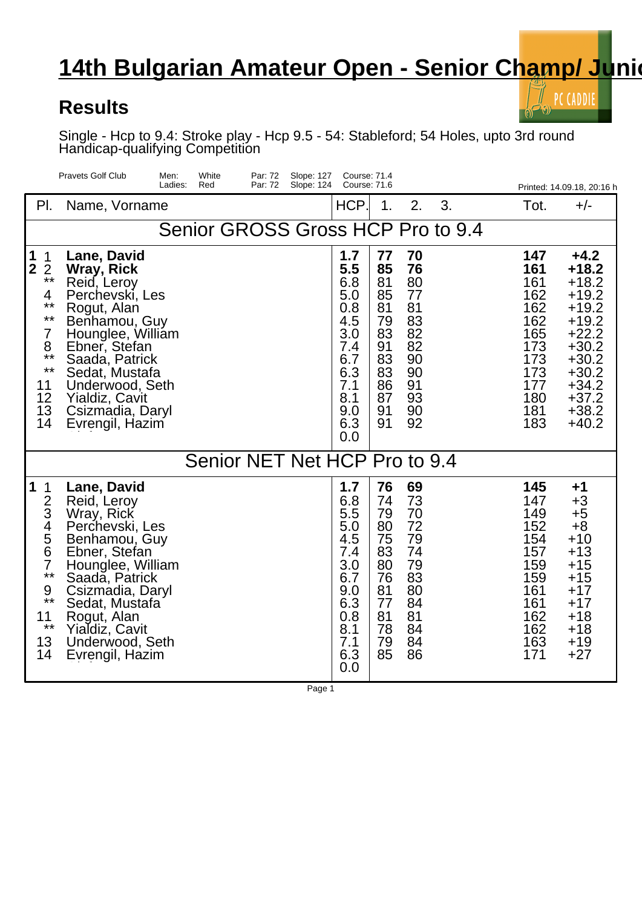## **14th Bulgarian Amateur Open - Senior Champ/ Junion**

## **Results**

PC CADDIE

Single - Hcp to 9.4: Stroke play - Hcp 9.5 - 54: Stableford; 54 Holes, upto 3rd round Handicap-qualifying Competition

|                                                                                                                                                             | <b>Pravets Golf Club</b><br>White<br>Men:<br>Par: 72<br>Slope: 127<br>Ladies:<br>Red<br>Par: 72<br>Slope: 124                                                                                                                                            |                                                                                                       | <b>Course: 71.4</b><br>Course: 71.6                                              |                                                                                  |                                                                                                | Printed: 14.09.18, 20:16 h                                                                                                                            |  |  |  |  |  |
|-------------------------------------------------------------------------------------------------------------------------------------------------------------|----------------------------------------------------------------------------------------------------------------------------------------------------------------------------------------------------------------------------------------------------------|-------------------------------------------------------------------------------------------------------|----------------------------------------------------------------------------------|----------------------------------------------------------------------------------|------------------------------------------------------------------------------------------------|-------------------------------------------------------------------------------------------------------------------------------------------------------|--|--|--|--|--|
| $\mathsf{PL}$                                                                                                                                               | Name, Vorname                                                                                                                                                                                                                                            | HCP.                                                                                                  | 1.                                                                               | 2.<br>3.                                                                         | Tot.                                                                                           | $+/-$                                                                                                                                                 |  |  |  |  |  |
| Senior GROSS Gross HCP Pro to 9.4                                                                                                                           |                                                                                                                                                                                                                                                          |                                                                                                       |                                                                                  |                                                                                  |                                                                                                |                                                                                                                                                       |  |  |  |  |  |
| $\begin{array}{c} 1 \\ 2 \end{array}$<br>$\mathbf{1}$<br>$\overline{2}$<br>$***$<br>4<br>$***$<br>$***$<br>7<br>8<br>$***$<br>$***$<br>11<br>12<br>13<br>14 | Lane, David<br>Wray, Rick<br>Reid, Leroy<br>Perchevski, Les<br>Rogut, Alan<br>Benhamou, Guy<br>Hounglee, William<br>Ebner, Stefan<br>Saada, Patrick<br>Sedat, Mustafa<br>Underwood, Seth<br><b>Yialdiz, Cavit</b><br>Csizmadia, Daryl<br>Evrengil, Hazim | 1.7<br>5.5<br>6.8<br>5.0<br>0.8<br>4.5<br>3.0<br>7.4<br>6.7<br>6.3<br>7.1<br>8.1<br>9.0<br>6.3<br>0.0 | 77<br>85<br>81<br>85<br>81<br>79<br>83<br>91<br>83<br>83<br>86<br>87<br>91<br>91 | 70<br>76<br>80<br>77<br>81<br>83<br>82<br>82<br>90<br>90<br>91<br>93<br>90<br>92 | 147<br>161<br>161<br>162<br>162<br>162<br>165<br>173<br>173<br>173<br>177<br>180<br>181<br>183 | $+4.2$<br>$+18.2$<br>$+18.2$<br>$+19.2$<br>$+19.2$<br>$+19.2$<br>$+22.2$<br>$+30.2$<br>$+30.2$<br>$+30.2$<br>$+34.2$<br>$+37.2$<br>$+38.2$<br>$+40.2$ |  |  |  |  |  |
| Senior NET Net HCP Pro to 9.4                                                                                                                               |                                                                                                                                                                                                                                                          |                                                                                                       |                                                                                  |                                                                                  |                                                                                                |                                                                                                                                                       |  |  |  |  |  |
| $\vert$ 1<br>$\mathbf 1$<br>$rac{2}{3}$<br>4567<br>$***$<br>9<br>$***$<br>11<br>$***$<br>13<br>14                                                           | Lane, David<br>Reid, Leroy<br>Wray, Rick<br>Perchevski, Les<br>Benhamou, Guy<br>Ebner, Stefan<br>Hounglee, William<br>Saada, Patrick<br>Csizmadia, Daryl<br>Sedat, Mustafa<br>Rogut, Alan<br>Yialdiz, Cavit<br>Underwood, Seth<br>Evrengil, Hazim        | 1.7<br>6.8<br>5.5<br>5.0<br>4.5<br>7.4<br>3.0<br>6.7<br>9.0<br>6.3<br>0.8<br>8.1<br>7.1<br>6.3<br>0.0 | 76<br>74<br>79<br>80<br>75<br>83<br>80<br>76<br>81<br>77<br>81<br>78<br>79<br>85 | 69<br>73<br>70<br>72<br>79<br>74<br>79<br>83<br>80<br>84<br>81<br>84<br>84<br>86 | 145<br>147<br>149<br>152<br>154<br>157<br>159<br>159<br>161<br>161<br>162<br>162<br>163<br>171 | +1<br>$+3$<br>$+5$<br>$+8$<br>$+10$<br>$+13$<br>$+15$<br>$+15$<br>$+17$<br>$+17$<br>$+18$<br>$+18$<br>$+19$<br>$+27$                                  |  |  |  |  |  |

Page 1